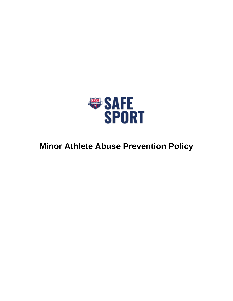

# **Minor Athlete Abuse Prevention Policy**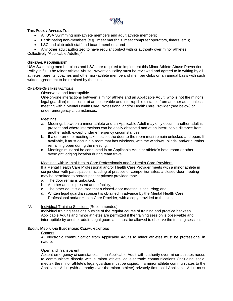

# **THIS POLICY APPLIES TO:**

- All USA Swimming non-athlete members and adult athlete members;
- Participating non-members (e.g., meet marshals, meet computer operators, timers, etc.);
- LSC and club adult staff and board members; and

• Any other adult authorized to have regular contact with or authority over minor athletes.

Collectively "Applicable Adult(s)"

# **GENERAL REQUIREMENT**

USA Swimming member clubs and LSCs are required to implement this Minor Athlete Abuse Prevention Policy in full. The Minor Athlete Abuse Prevention Policy must be reviewed and agreed to in writing by all athletes, parents, coaches and other non-athlete members of member clubs on an annual basis with such written agreement to be retained by the club.

# **ONE-ON-ONE INTERACTIONS**

I. Observable and Interruptible

One-on-one interactions between a minor athlete and an Applicable Adult (who is not the minor's legal guardian) must occur at an observable and interruptible distance from another adult unless meeting with a Mental Health Care Professional and/or Health Care Provider (see below) or under emergency circumstances.

- II. Meetings
	- a. Meetings between a minor athlete and an Applicable Adult may only occur if another adult is present and where interactions can be easily observed and at an interruptible distance from another adult, except under emergency circumstances.
	- b. If a one-on-one meeting takes place, the door to the room must remain unlocked and open. If available, it must occur in a room that has windows, with the windows, blinds, and/or curtains remaining open during the meeting.
	- c. Meetings must not be conducted in an Applicable Adult or athlete's hotel room or other overnight lodging location during team travel.

# III. Meetings with Mental Health Care Professionals and/or Health Care Providers

If a Mental Health Care Professional and/or Health Care Provider meets with a minor athlete in conjunction with participation, including at practice or competition sites, a closed-door meeting may be permitted to protect patient privacy provided that:

- a. The door remains unlocked;
- b. Another adult is present at the facility;
- c. The other adult is advised that a closed-door meeting is occurring; and
- d. Written legal guardian consent is obtained in advance by the Mental Health Care Professional and/or Health Care Provider, with a copy provided to the club.

# IV. Individual Training Sessions [Recommended]

Individual training sessions outside of the regular course of training and practice between Applicable Adults and minor athletes are permitted if the training session is observable and interruptible by another adult. Legal guardians must be allowed to observe the training session.

# **SOCIAL MEDIA AND ELECTRONIC COMMUNICATIONS**

I. Content

All electronic communication from Applicable Adults to minor athletes must be professional in nature.

# II. Open and Transparent

Absent emergency circumstances, if an Applicable Adult with authority over minor athletes needs to communicate directly with a minor athlete via electronic communications (including social media), the minor athlete's legal guardian must be copied. If a minor athlete communicates to the Applicable Adult (with authority over the minor athlete) privately first, said Applicable Adult must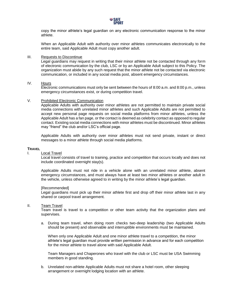

copy the minor athlete's legal guardian on any electronic communication response to the minor athlete.

When an Applicable Adult with authority over minor athletes communicates electronically to the entire team, said Applicable Adult must copy another adult.

## III. Requests to Discontinue

Legal guardians may request in writing that their minor athlete not be contacted through any form of electronic communication by the club, LSC or by an Applicable Adult subject to this Policy. The organization must abide by any such request that the minor athlete not be contacted via electronic communication, or included in any social media post, absent emergency circumstances.

## IV. Hours

Electronic communications must only be sent between the hours of 8:00 a.m. and 8:00 p.m., unless emergency circumstances exist, or during competition travel.

#### V. Prohibited Electronic Communication

Applicable Adults with authority over minor athletes are not permitted to maintain private social media connections with unrelated minor athletes and such Applicable Adults are not permitted to accept new personal page requests on social media platforms from minor athletes, unless the Applicable Adult has a fan page, or the contact is deemed as celebrity contact as opposed to regular contact. Existing social media connections with minor athletes must be discontinued. Minor athletes may "friend" the club and/or LSC's official page.

Applicable Adults with authority over minor athletes must not send private, instant or direct messages to a minor athlete through social media platforms.

## **TRAVEL**

#### I. Local Travel

Local travel consists of travel to training, practice and competition that occurs locally and does not include coordinated overnight stay(s).

Applicable Adults must not ride in a vehicle alone with an unrelated minor athlete, absent emergency circumstances, and must always have at least two minor athletes or another adult in the vehicle, unless otherwise agreed to in writing by the minor athlete's legal guardian.

#### [Recommended]

Legal guardians must pick up their minor athlete first and drop off their minor athlete last in any shared or carpool travel arrangement.

## II. Team Travel

Team travel is travel to a competition or other team activity that the organization plans and supervises.

a. During team travel, when doing room checks two-deep leadership (two Applicable Adults should be present) and observable and interruptible environments must be maintained.

When only one Applicable Adult and one minor athlete travel to a competition, the minor athlete's legal guardian must provide written permission in advance and for each competition for the minor athlete to travel alone with said Applicable Adult.

Team Managers and Chaperones who travel with the club or LSC must be USA Swimming members in good standing.

b. Unrelated non-athlete Applicable Adults must not share a hotel room, other sleeping arrangement or overnight lodging location with an athlete.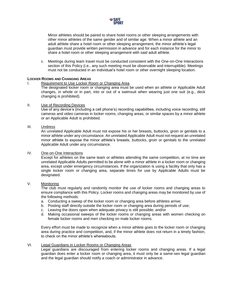

Minor athletes should be paired to share hotel rooms or other sleeping arrangements with other minor athletes of the same gender and of similar age. When a minor athlete and an adult athlete share a hotel room or other sleeping arrangement, the minor athlete's legal guardian must provide written permission in advance and for each instance for the minor to share a hotel room or other sleeping arrangement with said adult athlete.

c. Meetings during team travel must be conducted consistent with the One-on-One Interactions section of this Policy (i.e., any such meeting must be observable and interruptible). Meetings must not be conducted in an individual's hotel room or other overnight sleeping location.

# **LOCKER ROOMS AND CHANGING AREAS**

## I. Requirement to Use Locker Room or Changing Area

The designated locker room or changing area must be used when an athlete or Applicable Adult changes, in whole or in part, into or out of a swimsuit when wearing just one suit (e.g., deck changing is prohibited).

## II. Use of Recording Devices

Use of any device's (including a cell phone's) recording capabilities, including voice recording, still cameras and video cameras in locker rooms, changing areas, or similar spaces by a minor athlete or an Applicable Adult is prohibited.

## III. Undress

An unrelated Applicable Adult must not expose his or her breasts, buttocks, groin or genitals to a minor athlete under any circumstance. An unrelated Applicable Adult must not request an unrelated minor athlete to expose the minor athlete's breasts, buttocks, groin or genitals to the unrelated Applicable Adult under any circumstance.

## IV. One-on-One Interactions

Except for athletes on the same team or athletes attending the same competition, at no time are unrelated Applicable Adults permitted to be alone with a minor athlete in a locker room or changing area, except under emergency circumstances. If the organization is using a facility that only has a single locker room or changing area, separate times for use by Applicable Adults must be designated.

# V. Monitoring

The club must regularly and randomly monitor the use of locker rooms and changing areas to ensure compliance with this Policy. Locker rooms and changing areas may be monitored by use of the following methods:

- a. Conducting a sweep of the locker room or changing area before athletes arrive;
- b. Posting staff directly outside the locker room or changing area during periods of use;
- c. Leaving the doors open when adequate privacy is still possible; and/or
- d. Making occasional sweeps of the locker rooms or changing areas with women checking on female locker rooms and men checking on male locker rooms.

Every effort must be made to recognize when a minor athlete goes to the locker room or changing area during practice and competition, and, if the minor athlete does not return in a timely fashion, to check on the minor athlete's whereabouts.

# VI. Legal Guardians in Locker Rooms or Changing Areas

Legal guardians are discouraged from entering locker rooms and changing areas. If a legal guardian does enter a locker room or changing area, it must only be a same-sex legal guardian and the legal guardian should notify a coach or administrator in advance.